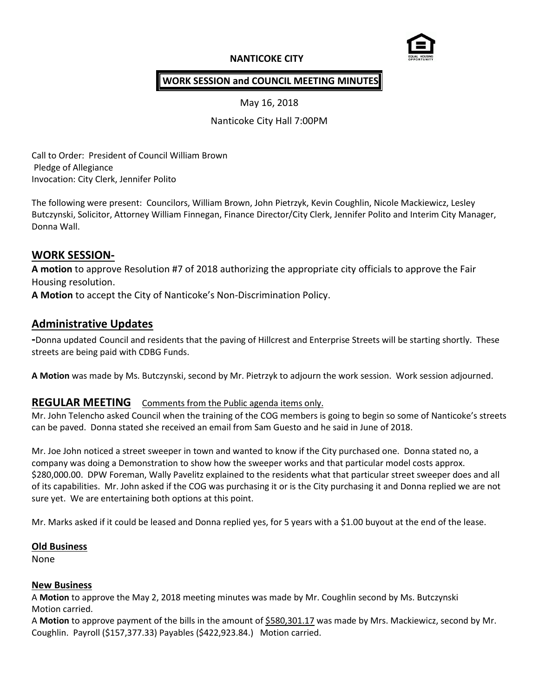## **NANTICOKE CITY**



## **WORK SESSION and COUNCIL MEETING MINUTES**

May 16, 2018

Nanticoke City Hall 7:00PM

Call to Order: President of Council William Brown Pledge of Allegiance Invocation: City Clerk, Jennifer Polito

The following were present: Councilors, William Brown, John Pietrzyk, Kevin Coughlin, Nicole Mackiewicz, Lesley Butczynski, Solicitor, Attorney William Finnegan, Finance Director/City Clerk, Jennifer Polito and Interim City Manager, Donna Wall.

# **WORK SESSION-**

**A motion** to approve Resolution #7 of 2018 authorizing the appropriate city officials to approve the Fair Housing resolution.

**A Motion** to accept the City of Nanticoke's Non-Discrimination Policy.

## **Administrative Updates**

**-**Donna updated Council and residents that the paving of Hillcrest and Enterprise Streets will be starting shortly. These streets are being paid with CDBG Funds.

**A Motion** was made by Ms. Butczynski, second by Mr. Pietrzyk to adjourn the work session. Work session adjourned.

## **REGULAR MEETING** Comments from the Public agenda items only.

Mr. John Telencho asked Council when the training of the COG members is going to begin so some of Nanticoke's streets can be paved. Donna stated she received an email from Sam Guesto and he said in June of 2018.

Mr. Joe John noticed a street sweeper in town and wanted to know if the City purchased one. Donna stated no, a company was doing a Demonstration to show how the sweeper works and that particular model costs approx. \$280,000.00. DPW Foreman, Wally Pavelitz explained to the residents what that particular street sweeper does and all of its capabilities. Mr. John asked if the COG was purchasing it or is the City purchasing it and Donna replied we are not sure yet. We are entertaining both options at this point.

Mr. Marks asked if it could be leased and Donna replied yes, for 5 years with a \$1.00 buyout at the end of the lease.

## **Old Business**

None

#### **New Business**

A **Motion** to approve the May 2, 2018 meeting minutes was made by Mr. Coughlin second by Ms. Butczynski Motion carried.

A **Motion** to approve payment of the bills in the amount of \$580,301.17 was made by Mrs. Mackiewicz, second by Mr. Coughlin. Payroll (\$157,377.33) Payables (\$422,923.84.) Motion carried.